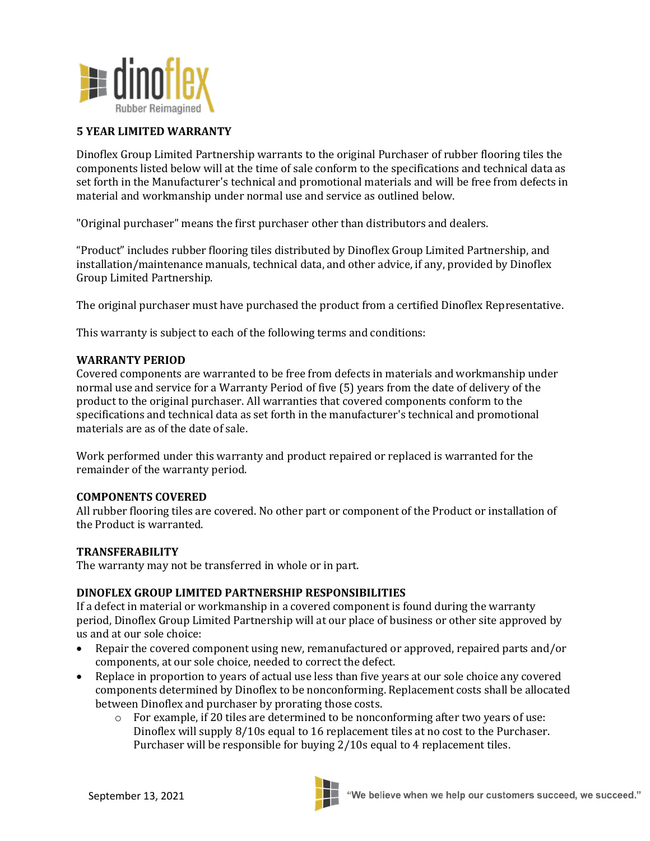

# **5 YEAR LIMITED WARRANTY**

Dinoflex Group Limited Partnership warrants to the original Purchaser of rubber flooring tiles the components listed below will at the time of sale conform to the specifications and technical data as set forth in the Manufacturer's technical and promotional materials and will be free from defects in material and workmanship under normal use and service as outlined below.

"Original purchaser" means the first purchaser other than distributors and dealers.

"Product" includes rubber flooring tiles distributed by Dinoflex Group Limited Partnership, and installation/maintenance manuals, technical data, and other advice, if any, provided by Dinoflex Group Limited Partnership.

The original purchaser must have purchased the product from a certified Dinoflex Representative.

This warranty is subject to each of the following terms and conditions:

#### **WARRANTY PERIOD**

Covered components are warranted to be free from defects in materials and workmanship under normal use and service for a Warranty Period of five (5) years from the date of delivery of the product to the original purchaser. All warranties that covered components conform to the specifications and technical data as set forth in the manufacturer's technical and promotional materials are as of the date of sale.

Work performed under this warranty and product repaired or replaced is warranted for the remainder of the warranty period.

### **COMPONENTS COVERED**

All rubber flooring tiles are covered. No other part or component of the Product or installation of the Product is warranted.

## **TRANSFERABILITY**

The warranty may not be transferred in whole or in part.

### **DINOFLEX GROUP LIMITED PARTNERSHIP RESPONSIBILITIES**

If a defect in material or workmanship in a covered component is found during the warranty period, Dinoflex Group Limited Partnership will at our place of business or other site approved by us and at our sole choice:

- Repair the covered component using new, remanufactured or approved, repaired parts and/or components, at our sole choice, needed to correct the defect.
- Replace in proportion to years of actual use less than five years at our sole choice any covered components determined by Dinoflex to be nonconforming. Replacement costs shall be allocated between Dinoflex and purchaser by prorating those costs.
	- o For example, if 20 tiles are determined to be nonconforming after two years of use: Dinoflex will supply 8/10s equal to 16 replacement tiles at no cost to the Purchaser. Purchaser will be responsible for buying 2/10s equal to 4 replacement tiles.

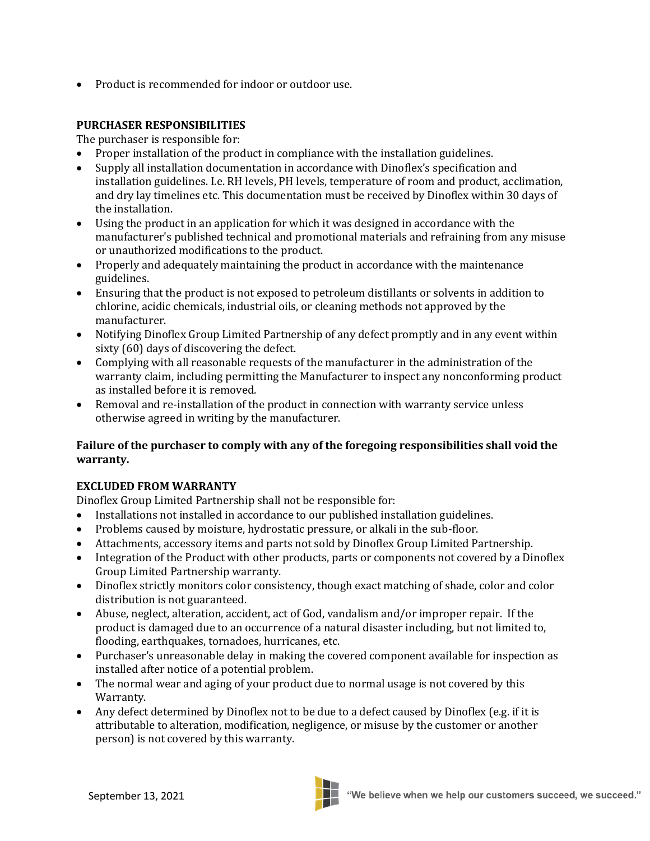• Product is recommended for indoor or outdoor use.

# **PURCHASER RESPONSIBILITIES**

The purchaser is responsible for:

- Proper installation of the product in compliance with the installation guidelines.
- Supply all installation documentation in accordance with Dinoflex's specification and installation guidelines. I.e. RH levels, PH levels, temperature of room and product, acclimation, and dry lay timelines etc. This documentation must be received by Dinoflex within 30 days of the installation.
- Using the product in an application for which it was designed in accordance with the manufacturer's published technical and promotional materials and refraining from any misuse or unauthorized modifications to the product.
- Properly and adequately maintaining the product in accordance with the maintenance guidelines.
- Ensuring that the product is not exposed to petroleum distillants or solvents in addition to chlorine, acidic chemicals, industrial oils, or cleaning methods not approved by the manufacturer.
- Notifying Dinoflex Group Limited Partnership of any defect promptly and in any event within sixty (60) days of discovering the defect.
- Complying with all reasonable requests of the manufacturer in the administration of the warranty claim, including permitting the Manufacturer to inspect any nonconforming product as installed before it is removed.
- Removal and re-installation of the product in connection with warranty service unless otherwise agreed in writing by the manufacturer.

# **Failure of the purchaser to comply with any of the foregoing responsibilities shall void the warranty.**

# **EXCLUDED FROM WARRANTY**

Dinoflex Group Limited Partnership shall not be responsible for:

- Installations not installed in accordance to our published installation guidelines.
- Problems caused by moisture, hydrostatic pressure, or alkali in the sub-floor.
- Attachments, accessory items and parts not sold by Dinoflex Group Limited Partnership.
- Integration of the Product with other products, parts or components not covered by a Dinoflex Group Limited Partnership warranty.
- Dinoflex strictly monitors color consistency, though exact matching of shade, color and color distribution is not guaranteed.
- Abuse, neglect, alteration, accident, act of God, vandalism and/or improper repair. If the product is damaged due to an occurrence of a natural disaster including, but not limited to, flooding, earthquakes, tornadoes, hurricanes, etc.
- Purchaser's unreasonable delay in making the covered component available for inspection as installed after notice of a potential problem.
- The normal wear and aging of your product due to normal usage is not covered by this Warranty.
- Any defect determined by Dinoflex not to be due to a defect caused by Dinoflex (e.g. if it is attributable to alteration, modification, negligence, or misuse by the customer or another person) is not covered by this warranty.

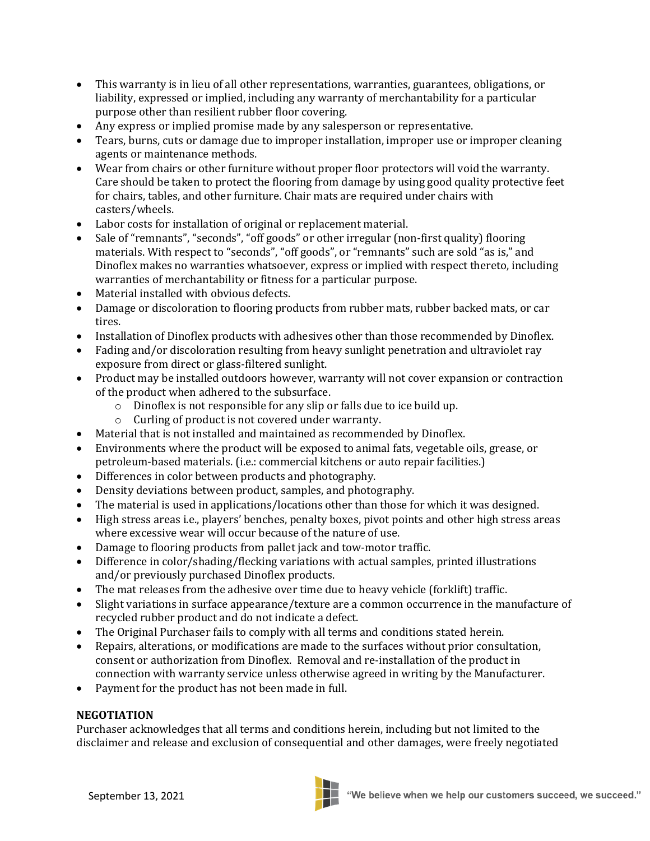- This warranty is in lieu of all other representations, warranties, guarantees, obligations, or liability, expressed or implied, including any warranty of merchantability for a particular purpose other than resilient rubber floor covering.
- Any express or implied promise made by any salesperson or representative.
- Tears, burns, cuts or damage due to improper installation, improper use or improper cleaning agents or maintenance methods.
- Wear from chairs or other furniture without proper floor protectors will void the warranty. Care should be taken to protect the flooring from damage by using good quality protective feet for chairs, tables, and other furniture. Chair mats are required under chairs with casters/wheels.
- Labor costs for installation of original or replacement material.
- Sale of "remnants", "seconds", "off goods" or other irregular (non-first quality) flooring materials. With respect to "seconds", "off goods", or "remnants" such are sold "as is," and Dinoflex makes no warranties whatsoever, express or implied with respect thereto, including warranties of merchantability or fitness for a particular purpose.
- Material installed with obvious defects.
- Damage or discoloration to flooring products from rubber mats, rubber backed mats, or car tires.
- Installation of Dinoflex products with adhesives other than those recommended by Dinoflex.
- Fading and/or discoloration resulting from heavy sunlight penetration and ultraviolet ray exposure from direct or glass-filtered sunlight.
- Product may be installed outdoors however, warranty will not cover expansion or contraction of the product when adhered to the subsurface.
	- o Dinoflex is not responsible for any slip or falls due to ice build up.
	- o Curling of product is not covered under warranty.
- Material that is not installed and maintained as recommended by Dinoflex.
- Environments where the product will be exposed to animal fats, vegetable oils, grease, or petroleum-based materials. (i.e.: commercial kitchens or auto repair facilities.)
- Differences in color between products and photography.
- Density deviations between product, samples, and photography.
- The material is used in applications/locations other than those for which it was designed.
- High stress areas i.e., players' benches, penalty boxes, pivot points and other high stress areas where excessive wear will occur because of the nature of use.
- Damage to flooring products from pallet jack and tow-motor traffic.
- Difference in color/shading/flecking variations with actual samples, printed illustrations and/or previously purchased Dinoflex products.
- The mat releases from the adhesive over time due to heavy vehicle (forklift) traffic.
- Slight variations in surface appearance/texture are a common occurrence in the manufacture of recycled rubber product and do not indicate a defect.
- The Original Purchaser fails to comply with all terms and conditions stated herein.
- Repairs, alterations, or modifications are made to the surfaces without prior consultation, consent or authorization from Dinoflex. Removal and re-installation of the product in connection with warranty service unless otherwise agreed in writing by the Manufacturer.
- Payment for the product has not been made in full.

# **NEGOTIATION**

Purchaser acknowledges that all terms and conditions herein, including but not limited to the disclaimer and release and exclusion of consequential and other damages, were freely negotiated